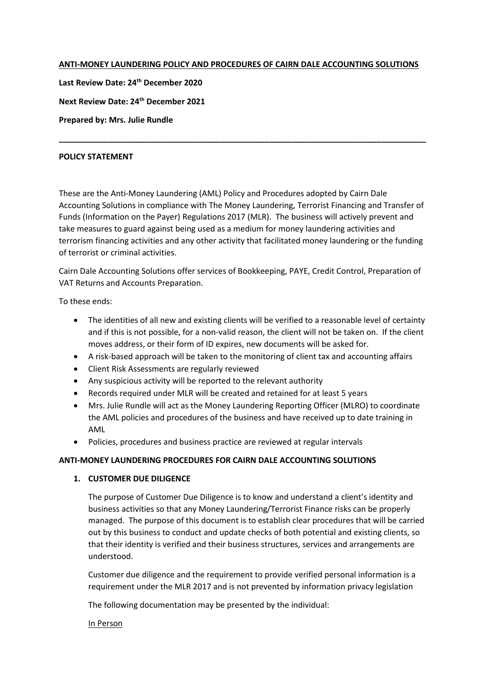#### **ANTI-MONEY LAUNDERING POLICY AND PROCEDURES OF CAIRN DALE ACCOUNTING SOLUTIONS**

**Last Review Date: 24th December 2020**

**Next Review Date: 24th December 2021**

**Prepared by: Mrs. Julie Rundle**

#### **POLICY STATEMENT**

These are the Anti-Money Laundering (AML) Policy and Procedures adopted by Cairn Dale Accounting Solutions in compliance with The Money Laundering, Terrorist Financing and Transfer of Funds (Information on the Payer) Regulations 2017 (MLR). The business will actively prevent and take measures to guard against being used as a medium for money laundering activities and terrorism financing activities and any other activity that facilitated money laundering or the funding of terrorist or criminal activities.

**\_\_\_\_\_\_\_\_\_\_\_\_\_\_\_\_\_\_\_\_\_\_\_\_\_\_\_\_\_\_\_\_\_\_\_\_\_\_\_\_\_\_\_\_\_\_\_\_\_\_\_\_\_\_\_\_\_\_\_\_\_\_\_\_\_\_\_\_\_\_\_\_\_\_\_\_\_\_\_\_\_\_**

Cairn Dale Accounting Solutions offer services of Bookkeeping, PAYE, Credit Control, Preparation of VAT Returns and Accounts Preparation.

To these ends:

- The identities of all new and existing clients will be verified to a reasonable level of certainty and if this is not possible, for a non-valid reason, the client will not be taken on. If the client moves address, or their form of ID expires, new documents will be asked for.
- A risk-based approach will be taken to the monitoring of client tax and accounting affairs
- Client Risk Assessments are regularly reviewed
- Any suspicious activity will be reported to the relevant authority
- Records required under MLR will be created and retained for at least 5 years
- Mrs. Julie Rundle will act as the Money Laundering Reporting Officer (MLRO) to coordinate the AML policies and procedures of the business and have received up to date training in AML
- Policies, procedures and business practice are reviewed at regular intervals

# **ANTI-MONEY LAUNDERING PROCEDURES FOR CAIRN DALE ACCOUNTING SOLUTIONS**

# **1. CUSTOMER DUE DILIGENCE**

The purpose of Customer Due Diligence is to know and understand a client's identity and business activities so that any Money Laundering/Terrorist Finance risks can be properly managed. The purpose of this document is to establish clear procedures that will be carried out by this business to conduct and update checks of both potential and existing clients, so that their identity is verified and their business structures, services and arrangements are understood.

Customer due diligence and the requirement to provide verified personal information is a requirement under the MLR 2017 and is not prevented by information privacy legislation

The following documentation may be presented by the individual:

#### In Person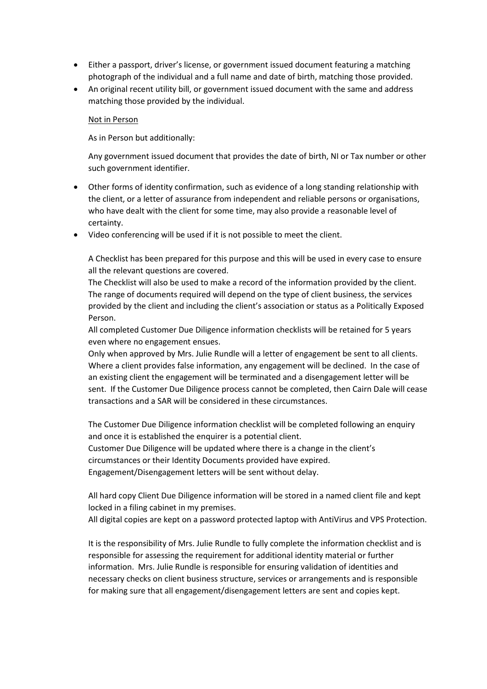- Either a passport, driver's license, or government issued document featuring a matching photograph of the individual and a full name and date of birth, matching those provided.
- An original recent utility bill, or government issued document with the same and address matching those provided by the individual.

#### Not in Person

As in Person but additionally:

Any government issued document that provides the date of birth, NI or Tax number or other such government identifier.

- Other forms of identity confirmation, such as evidence of a long standing relationship with the client, or a letter of assurance from independent and reliable persons or organisations, who have dealt with the client for some time, may also provide a reasonable level of certainty.
- Video conferencing will be used if it is not possible to meet the client.

A Checklist has been prepared for this purpose and this will be used in every case to ensure all the relevant questions are covered.

The Checklist will also be used to make a record of the information provided by the client. The range of documents required will depend on the type of client business, the services provided by the client and including the client's association or status as a Politically Exposed Person.

All completed Customer Due Diligence information checklists will be retained for 5 years even where no engagement ensues.

Only when approved by Mrs. Julie Rundle will a letter of engagement be sent to all clients. Where a client provides false information, any engagement will be declined. In the case of an existing client the engagement will be terminated and a disengagement letter will be sent. If the Customer Due Diligence process cannot be completed, then Cairn Dale will cease transactions and a SAR will be considered in these circumstances.

The Customer Due Diligence information checklist will be completed following an enquiry and once it is established the enquirer is a potential client.

Customer Due Diligence will be updated where there is a change in the client's circumstances or their Identity Documents provided have expired.

Engagement/Disengagement letters will be sent without delay.

All hard copy Client Due Diligence information will be stored in a named client file and kept locked in a filing cabinet in my premises.

All digital copies are kept on a password protected laptop with AntiVirus and VPS Protection.

It is the responsibility of Mrs. Julie Rundle to fully complete the information checklist and is responsible for assessing the requirement for additional identity material or further information. Mrs. Julie Rundle is responsible for ensuring validation of identities and necessary checks on client business structure, services or arrangements and is responsible for making sure that all engagement/disengagement letters are sent and copies kept.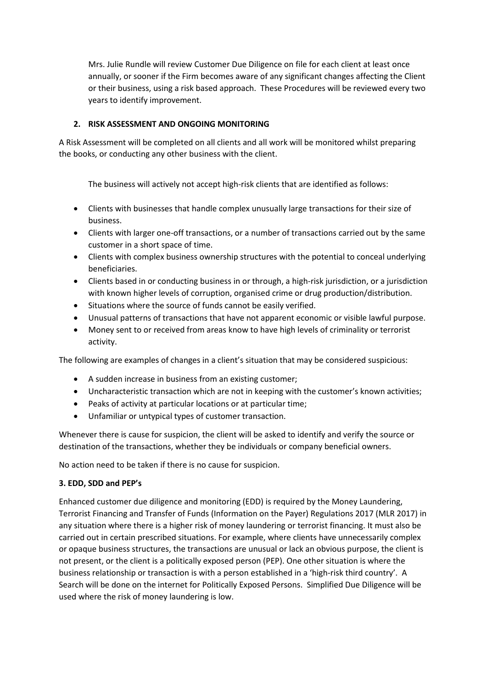Mrs. Julie Rundle will review Customer Due Diligence on file for each client at least once annually, or sooner if the Firm becomes aware of any significant changes affecting the Client or their business, using a risk based approach. These Procedures will be reviewed every two years to identify improvement.

# **2. RISK ASSESSMENT AND ONGOING MONITORING**

A Risk Assessment will be completed on all clients and all work will be monitored whilst preparing the books, or conducting any other business with the client.

The business will actively not accept high-risk clients that are identified as follows:

- Clients with businesses that handle complex unusually large transactions for their size of business.
- Clients with larger one-off transactions, or a number of transactions carried out by the same customer in a short space of time.
- Clients with complex business ownership structures with the potential to conceal underlying beneficiaries.
- Clients based in or conducting business in or through, a high-risk jurisdiction, or a jurisdiction with known higher levels of corruption, organised crime or drug production/distribution.
- Situations where the source of funds cannot be easily verified.
- Unusual patterns of transactions that have not apparent economic or visible lawful purpose.
- Money sent to or received from areas know to have high levels of criminality or terrorist activity.

The following are examples of changes in a client's situation that may be considered suspicious:

- A sudden increase in business from an existing customer;
- Uncharacteristic transaction which are not in keeping with the customer's known activities;
- Peaks of activity at particular locations or at particular time;
- Unfamiliar or untypical types of customer transaction.

Whenever there is cause for suspicion, the client will be asked to identify and verify the source or destination of the transactions, whether they be individuals or company beneficial owners.

No action need to be taken if there is no cause for suspicion.

# **3. EDD, SDD and PEP's**

Enhanced customer due diligence and monitoring (EDD) is required by the Money Laundering, Terrorist Financing and Transfer of Funds (Information on the Payer) Regulations 2017 (MLR 2017) in any situation where there is a higher risk of money laundering or terrorist financing. It must also be carried out in certain prescribed situations. For example, where clients have unnecessarily complex or opaque business structures, the transactions are unusual or lack an obvious purpose, the client is not present, or the client is a politically exposed person (PEP). One other situation is where the business relationship or transaction is with a person established in a 'high-risk third country'. A Search will be done on the internet for Politically Exposed Persons. Simplified Due Diligence will be used where the risk of money laundering is low.